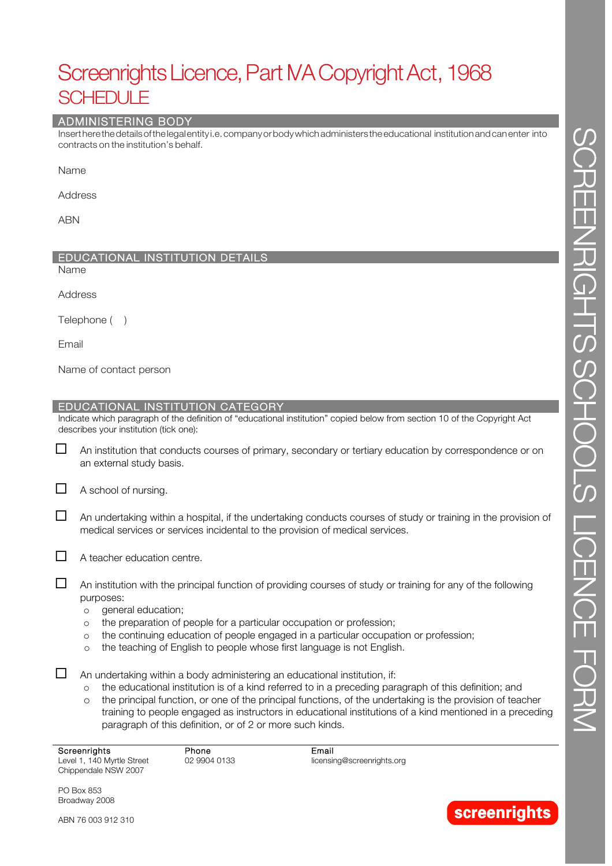# Screenrights Licence, Part MA Copyright Act, 1968 SCHEDULE

## ADMINISTERING BODY

Insertherethedetailsofthelegalentity i.e.companyorbodywhichadministerstheeducational institutionandcanenter into contracts on the institution's behalf.

Name

Address

ABN

## EDUCATIONAL INSTITUTION DETAILS

Name

Address

Telephone ()

Email

Name of contact person

## EDUCATIONAL INSTITUTION CATEGORY

Indicate which paragraph of the definition of "educational institution" copied below from section 10 of the Copyright Act describes your institution (tick one):

 $\Box$  An institution that conducts courses of primary, secondary or tertiary education by correspondence or on an external study basis.

 $\Box$  A school of nursing.

- $\Box$  An undertaking within a hospital, if the undertaking conducts courses of study or training in the provision of medical services or services incidental to the provision of medical services.
- 

 $\Box$  A teacher education centre.

 $\Box$  An institution with the principal function of providing courses of study or training for any of the following purposes:

- o general education;
- o the preparation of people for a particular occupation or profession;
- o the continuing education of people engaged in a particular occupation or profession;
- o the teaching of English to people whose first language is not English.

 $\Box$  An undertaking within a body administering an educational institution, if:

- o the educational institution is of a kind referred to in a preceding paragraph of this definition; and
- o the principal function, or one of the principal functions, of the undertaking is the provision of teacher training to people engaged as instructors in educational institutions of a kind mentioned in a preceding paragraph of this definition, or of 2 or more such kinds.

| Screenrights               | Phone        | Email                      |
|----------------------------|--------------|----------------------------|
| Level 1, 140 Myrtle Street | 02 9904 0133 | licensing@screenrights.org |
| Chippendale NSW 2007       |              |                            |



**screenrights** 

ABN 76 003 912 310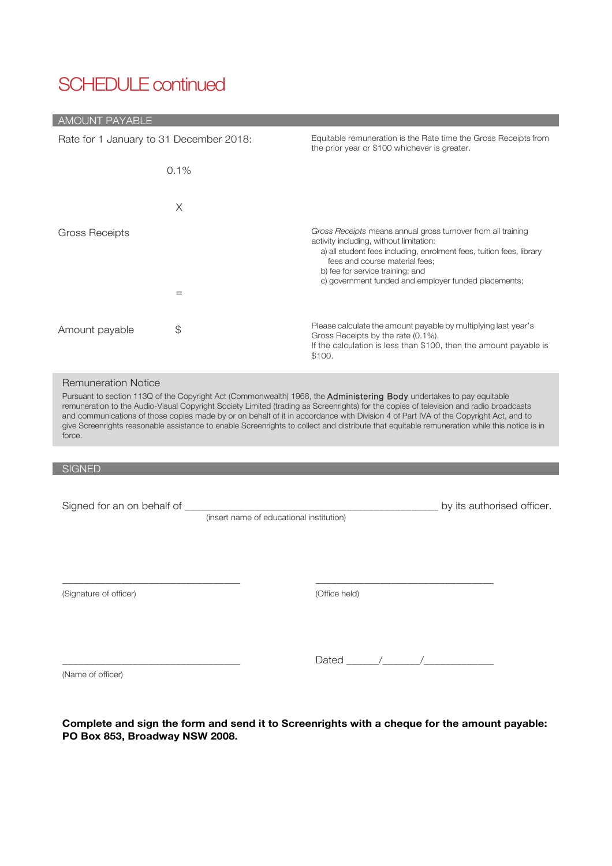# SCHEDULE continued

## AMOUNT PAYABLE

| Rate for 1 January to 31 December 2018:                                                                                                                                                                                                                                                                                                                                                                                                                                                                                                                                                                |                                          | Equitable remuneration is the Rate time the Gross Receipts from<br>the prior year or \$100 whichever is greater.                                                                                                                                                                                              |  |  |  |
|--------------------------------------------------------------------------------------------------------------------------------------------------------------------------------------------------------------------------------------------------------------------------------------------------------------------------------------------------------------------------------------------------------------------------------------------------------------------------------------------------------------------------------------------------------------------------------------------------------|------------------------------------------|---------------------------------------------------------------------------------------------------------------------------------------------------------------------------------------------------------------------------------------------------------------------------------------------------------------|--|--|--|
|                                                                                                                                                                                                                                                                                                                                                                                                                                                                                                                                                                                                        | 0.1%                                     |                                                                                                                                                                                                                                                                                                               |  |  |  |
|                                                                                                                                                                                                                                                                                                                                                                                                                                                                                                                                                                                                        | X                                        |                                                                                                                                                                                                                                                                                                               |  |  |  |
| <b>Gross Receipts</b>                                                                                                                                                                                                                                                                                                                                                                                                                                                                                                                                                                                  | $=$                                      | Gross Receipts means annual gross turnover from all training<br>activity including, without limitation:<br>a) all student fees including, enrolment fees, tuition fees, library<br>fees and course material fees;<br>b) fee for service training; and<br>c) government funded and employer funded placements; |  |  |  |
| Amount payable                                                                                                                                                                                                                                                                                                                                                                                                                                                                                                                                                                                         | \$                                       | Please calculate the amount payable by multiplying last year's<br>Gross Receipts by the rate (0.1%).<br>If the calculation is less than \$100, then the amount payable is<br>\$100.                                                                                                                           |  |  |  |
| <b>Remuneration Notice</b><br>Pursuant to section 113Q of the Copyright Act (Commonwealth) 1968, the <b>Administering Body</b> undertakes to pay equitable<br>remuneration to the Audio-Visual Copyright Society Limited (trading as Screenrights) for the copies of television and radio broadcasts<br>and communications of those copies made by or on behalf of it in accordance with Division 4 of Part IVA of the Copyright Act, and to<br>give Screenrights reasonable assistance to enable Screenrights to collect and distribute that equitable remuneration while this notice is in<br>force. |                                          |                                                                                                                                                                                                                                                                                                               |  |  |  |
|                                                                                                                                                                                                                                                                                                                                                                                                                                                                                                                                                                                                        |                                          |                                                                                                                                                                                                                                                                                                               |  |  |  |
| <b>SIGNED</b>                                                                                                                                                                                                                                                                                                                                                                                                                                                                                                                                                                                          |                                          |                                                                                                                                                                                                                                                                                                               |  |  |  |
| Signed for an on behalf of ____                                                                                                                                                                                                                                                                                                                                                                                                                                                                                                                                                                        | (insert name of educational institution) | by its authorised officer.                                                                                                                                                                                                                                                                                    |  |  |  |
|                                                                                                                                                                                                                                                                                                                                                                                                                                                                                                                                                                                                        |                                          |                                                                                                                                                                                                                                                                                                               |  |  |  |
| (Signature of officer)                                                                                                                                                                                                                                                                                                                                                                                                                                                                                                                                                                                 |                                          | (Office held)                                                                                                                                                                                                                                                                                                 |  |  |  |

(Name of officer)

\_\_\_\_\_\_\_\_\_\_\_\_\_\_\_\_\_\_\_\_\_\_\_\_\_\_\_\_\_\_\_\_\_

| ┍<br>$\sim$<br>$-1$ |  |  |
|---------------------|--|--|
|                     |  |  |

**Complete and sign the form and send it to Screenrights with a cheque for the amount payable: PO Box 853, Broadway NSW 2008.**